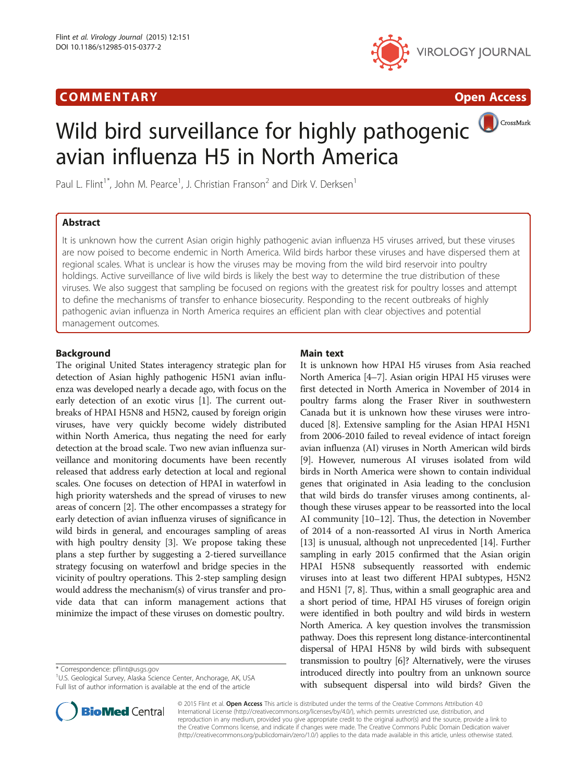## **COMMENTARY COMMENTARY Open Access**



# CrossMark Wild bird surveillance for highly pathogenic avian influenza H5 in North America

Paul L. Flint<sup>1\*</sup>, John M. Pearce<sup>1</sup>, J. Christian Franson<sup>2</sup> and Dirk V. Derksen<sup>1</sup>

## Abstract

It is unknown how the current Asian origin highly pathogenic avian influenza H5 viruses arrived, but these viruses are now poised to become endemic in North America. Wild birds harbor these viruses and have dispersed them at regional scales. What is unclear is how the viruses may be moving from the wild bird reservoir into poultry holdings. Active surveillance of live wild birds is likely the best way to determine the true distribution of these viruses. We also suggest that sampling be focused on regions with the greatest risk for poultry losses and attempt to define the mechanisms of transfer to enhance biosecurity. Responding to the recent outbreaks of highly pathogenic avian influenza in North America requires an efficient plan with clear objectives and potential management outcomes.

## Background

The original United States interagency strategic plan for detection of Asian highly pathogenic H5N1 avian influenza was developed nearly a decade ago, with focus on the early detection of an exotic virus [[1](#page-4-0)]. The current outbreaks of HPAI H5N8 and H5N2, caused by foreign origin viruses, have very quickly become widely distributed within North America, thus negating the need for early detection at the broad scale. Two new avian influenza surveillance and monitoring documents have been recently released that address early detection at local and regional scales. One focuses on detection of HPAI in waterfowl in high priority watersheds and the spread of viruses to new areas of concern [\[2](#page-4-0)]. The other encompasses a strategy for early detection of avian influenza viruses of significance in wild birds in general, and encourages sampling of areas with high poultry density [[3](#page-4-0)]. We propose taking these plans a step further by suggesting a 2-tiered surveillance strategy focusing on waterfowl and bridge species in the vicinity of poultry operations. This 2-step sampling design would address the mechanism(s) of virus transfer and provide data that can inform management actions that minimize the impact of these viruses on domestic poultry.

\* Correspondence: [pflint@usgs.gov](mailto:pflint@usgs.gov) <sup>1</sup>

<sup>1</sup>U.S. Geological Survey, Alaska Science Center, Anchorage, AK, USA Full list of author information is available at the end of the article



It is unknown how HPAI H5 viruses from Asia reached North America [\[4](#page-4-0)–[7\]](#page-4-0). Asian origin HPAI H5 viruses were first detected in North America in November of 2014 in poultry farms along the Fraser River in southwestern Canada but it is unknown how these viruses were introduced [[8](#page-4-0)]. Extensive sampling for the Asian HPAI H5N1 from 2006-2010 failed to reveal evidence of intact foreign avian influenza (AI) viruses in North American wild birds [[9\]](#page-4-0). However, numerous AI viruses isolated from wild birds in North America were shown to contain individual genes that originated in Asia leading to the conclusion that wild birds do transfer viruses among continents, although these viruses appear to be reassorted into the local AI community [\[10](#page-4-0)–[12](#page-4-0)]. Thus, the detection in November of 2014 of a non-reassorted AI virus in North America [[13](#page-4-0)] is unusual, although not unprecedented [[14](#page-4-0)]. Further sampling in early 2015 confirmed that the Asian origin HPAI H5N8 subsequently reassorted with endemic viruses into at least two different HPAI subtypes, H5N2 and H5N1 [\[7, 8\]](#page-4-0). Thus, within a small geographic area and a short period of time, HPAI H5 viruses of foreign origin were identified in both poultry and wild birds in western North America. A key question involves the transmission pathway. Does this represent long distance-intercontinental dispersal of HPAI H5N8 by wild birds with subsequent transmission to poultry [[6\]](#page-4-0)? Alternatively, were the viruses introduced directly into poultry from an unknown source with subsequent dispersal into wild birds? Given the



© 2015 Flint et al. Open Access This article is distributed under the terms of the Creative Commons Attribution 4.0 International License [\(http://creativecommons.org/licenses/by/4.0/](http://creativecommons.org/licenses/by/4.0/)), which permits unrestricted use, distribution, and reproduction in any medium, provided you give appropriate credit to the original author(s) and the source, provide a link to the Creative Commons license, and indicate if changes were made. The Creative Commons Public Domain Dedication waiver [\(http://creativecommons.org/publicdomain/zero/1.0/](http://creativecommons.org/publicdomain/zero/1.0/)) applies to the data made available in this article, unless otherwise stated.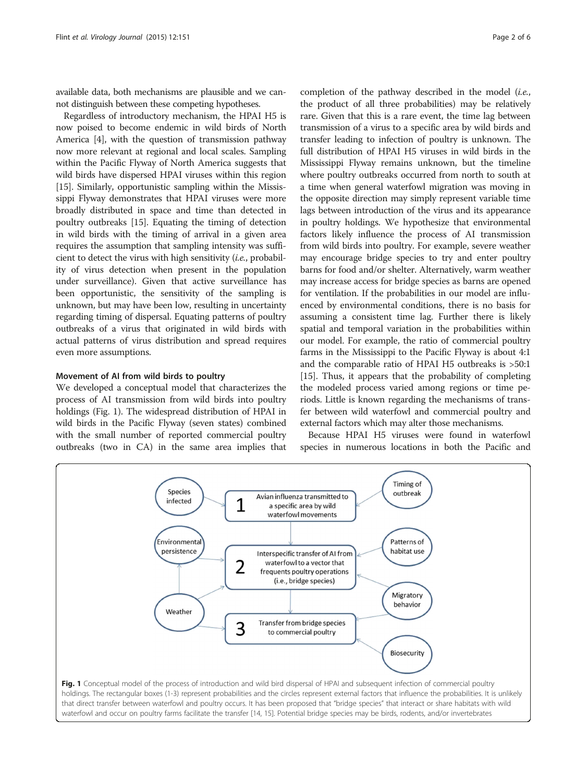<span id="page-1-0"></span>available data, both mechanisms are plausible and we cannot distinguish between these competing hypotheses.

Regardless of introductory mechanism, the HPAI H5 is now poised to become endemic in wild birds of North America [\[4\]](#page-4-0), with the question of transmission pathway now more relevant at regional and local scales. Sampling within the Pacific Flyway of North America suggests that wild birds have dispersed HPAI viruses within this region [[15](#page-4-0)]. Similarly, opportunistic sampling within the Mississippi Flyway demonstrates that HPAI viruses were more broadly distributed in space and time than detected in poultry outbreaks [[15\]](#page-4-0). Equating the timing of detection in wild birds with the timing of arrival in a given area requires the assumption that sampling intensity was sufficient to detect the virus with high sensitivity (i.e., probability of virus detection when present in the population under surveillance). Given that active surveillance has been opportunistic, the sensitivity of the sampling is unknown, but may have been low, resulting in uncertainty regarding timing of dispersal. Equating patterns of poultry outbreaks of a virus that originated in wild birds with actual patterns of virus distribution and spread requires even more assumptions.

## Movement of AI from wild birds to poultry

We developed a conceptual model that characterizes the process of AI transmission from wild birds into poultry holdings (Fig. 1). The widespread distribution of HPAI in wild birds in the Pacific Flyway (seven states) combined with the small number of reported commercial poultry outbreaks (two in CA) in the same area implies that

completion of the pathway described in the model (i.e., the product of all three probabilities) may be relatively rare. Given that this is a rare event, the time lag between transmission of a virus to a specific area by wild birds and transfer leading to infection of poultry is unknown. The full distribution of HPAI H5 viruses in wild birds in the Mississippi Flyway remains unknown, but the timeline where poultry outbreaks occurred from north to south at a time when general waterfowl migration was moving in the opposite direction may simply represent variable time lags between introduction of the virus and its appearance in poultry holdings. We hypothesize that environmental factors likely influence the process of AI transmission from wild birds into poultry. For example, severe weather may encourage bridge species to try and enter poultry barns for food and/or shelter. Alternatively, warm weather may increase access for bridge species as barns are opened for ventilation. If the probabilities in our model are influenced by environmental conditions, there is no basis for assuming a consistent time lag. Further there is likely spatial and temporal variation in the probabilities within our model. For example, the ratio of commercial poultry farms in the Mississippi to the Pacific Flyway is about 4:1 and the comparable ratio of HPAI H5 outbreaks is >50:1 [[15](#page-4-0)]. Thus, it appears that the probability of completing the modeled process varied among regions or time periods. Little is known regarding the mechanisms of transfer between wild waterfowl and commercial poultry and external factors which may alter those mechanisms.

Because HPAI H5 viruses were found in waterfowl species in numerous locations in both the Pacific and

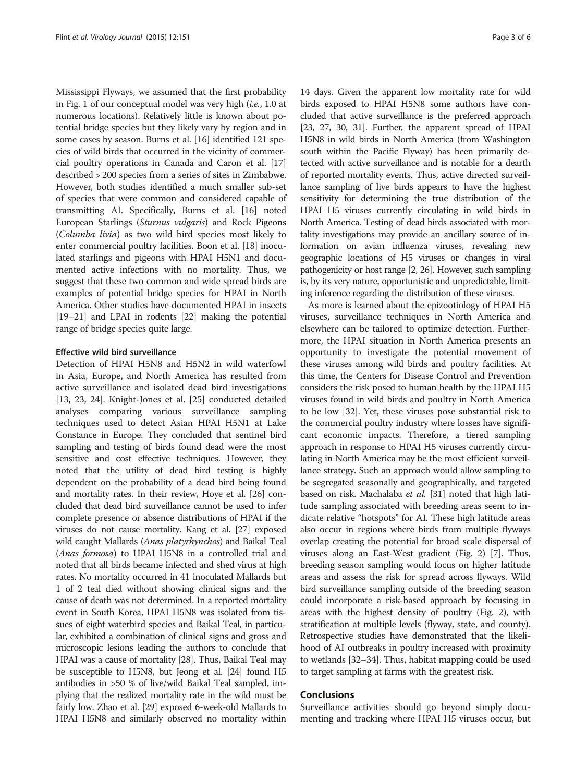Mississippi Flyways, we assumed that the first probability in Fig. [1](#page-1-0) of our conceptual model was very high  $(i.e., 1.0$  at numerous locations). Relatively little is known about potential bridge species but they likely vary by region and in some cases by season. Burns et al. [\[16\]](#page-4-0) identified 121 species of wild birds that occurred in the vicinity of commercial poultry operations in Canada and Caron et al. [[17](#page-4-0)] described > 200 species from a series of sites in Zimbabwe. However, both studies identified a much smaller sub-set of species that were common and considered capable of transmitting AI. Specifically, Burns et al. [\[16\]](#page-4-0) noted European Starlings (Sturnus vulgaris) and Rock Pigeons (Columba livia) as two wild bird species most likely to enter commercial poultry facilities. Boon et al. [[18\]](#page-4-0) inoculated starlings and pigeons with HPAI H5N1 and documented active infections with no mortality. Thus, we suggest that these two common and wide spread birds are examples of potential bridge species for HPAI in North America. Other studies have documented HPAI in insects [[19](#page-4-0)–[21\]](#page-4-0) and LPAI in rodents [[22](#page-4-0)] making the potential range of bridge species quite large.

### Effective wild bird surveillance

Detection of HPAI H5N8 and H5N2 in wild waterfowl in Asia, Europe, and North America has resulted from active surveillance and isolated dead bird investigations [[13, 23, 24](#page-4-0)]. Knight-Jones et al. [\[25\]](#page-4-0) conducted detailed analyses comparing various surveillance sampling techniques used to detect Asian HPAI H5N1 at Lake Constance in Europe. They concluded that sentinel bird sampling and testing of birds found dead were the most sensitive and cost effective techniques. However, they noted that the utility of dead bird testing is highly dependent on the probability of a dead bird being found and mortality rates. In their review, Hoye et al. [\[26\]](#page-4-0) concluded that dead bird surveillance cannot be used to infer complete presence or absence distributions of HPAI if the viruses do not cause mortality. Kang et al. [[27](#page-4-0)] exposed wild caught Mallards (Anas platyrhynchos) and Baikal Teal (Anas formosa) to HPAI H5N8 in a controlled trial and noted that all birds became infected and shed virus at high rates. No mortality occurred in 41 inoculated Mallards but 1 of 2 teal died without showing clinical signs and the cause of death was not determined. In a reported mortality event in South Korea, HPAI H5N8 was isolated from tissues of eight waterbird species and Baikal Teal, in particular, exhibited a combination of clinical signs and gross and microscopic lesions leading the authors to conclude that HPAI was a cause of mortality [[28](#page-4-0)]. Thus, Baikal Teal may be susceptible to H5N8, but Jeong et al. [\[24\]](#page-4-0) found H5 antibodies in >50 % of live/wild Baikal Teal sampled, implying that the realized mortality rate in the wild must be fairly low. Zhao et al. [\[29\]](#page-5-0) exposed 6-week-old Mallards to HPAI H5N8 and similarly observed no mortality within

14 days. Given the apparent low mortality rate for wild birds exposed to HPAI H5N8 some authors have concluded that active surveillance is the preferred approach [[23](#page-4-0), [27](#page-4-0), [30, 31\]](#page-5-0). Further, the apparent spread of HPAI H5N8 in wild birds in North America (from Washington south within the Pacific Flyway) has been primarily detected with active surveillance and is notable for a dearth of reported mortality events. Thus, active directed surveillance sampling of live birds appears to have the highest sensitivity for determining the true distribution of the HPAI H5 viruses currently circulating in wild birds in North America. Testing of dead birds associated with mortality investigations may provide an ancillary source of information on avian influenza viruses, revealing new geographic locations of H5 viruses or changes in viral pathogenicity or host range [\[2, 26\]](#page-4-0). However, such sampling is, by its very nature, opportunistic and unpredictable, limiting inference regarding the distribution of these viruses.

As more is learned about the epizootiology of HPAI H5 viruses, surveillance techniques in North America and elsewhere can be tailored to optimize detection. Furthermore, the HPAI situation in North America presents an opportunity to investigate the potential movement of these viruses among wild birds and poultry facilities. At this time, the Centers for Disease Control and Prevention considers the risk posed to human health by the HPAI H5 viruses found in wild birds and poultry in North America to be low [[32](#page-5-0)]. Yet, these viruses pose substantial risk to the commercial poultry industry where losses have significant economic impacts. Therefore, a tiered sampling approach in response to HPAI H5 viruses currently circulating in North America may be the most efficient surveillance strategy. Such an approach would allow sampling to be segregated seasonally and geographically, and targeted based on risk. Machalaba et al. [\[31](#page-5-0)] noted that high latitude sampling associated with breeding areas seem to indicate relative "hotspots" for AI. These high latitude areas also occur in regions where birds from multiple flyways overlap creating the potential for broad scale dispersal of viruses along an East-West gradient (Fig. [2\)](#page-3-0) [[7\]](#page-4-0). Thus, breeding season sampling would focus on higher latitude areas and assess the risk for spread across flyways. Wild bird surveillance sampling outside of the breeding season could incorporate a risk-based approach by focusing in areas with the highest density of poultry (Fig. [2\)](#page-3-0), with stratification at multiple levels (flyway, state, and county). Retrospective studies have demonstrated that the likelihood of AI outbreaks in poultry increased with proximity to wetlands [\[32](#page-5-0)–[34\]](#page-5-0). Thus, habitat mapping could be used to target sampling at farms with the greatest risk.

### Conclusions

Surveillance activities should go beyond simply documenting and tracking where HPAI H5 viruses occur, but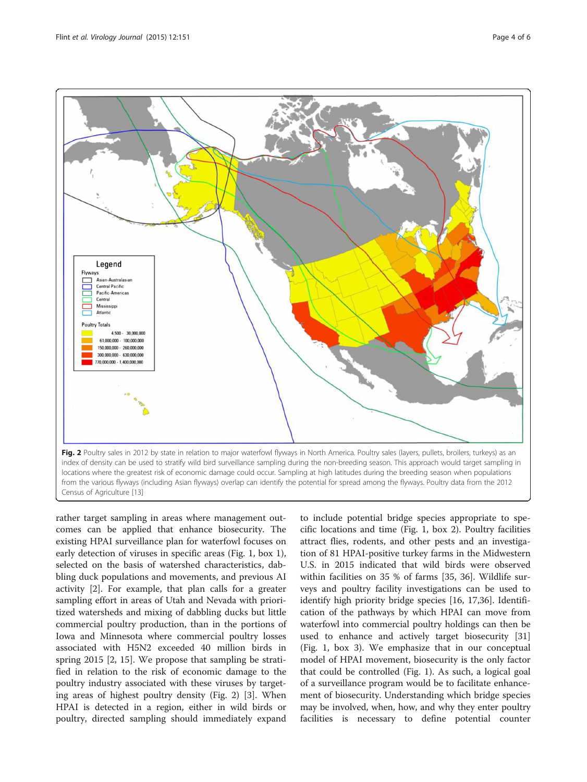<span id="page-3-0"></span>

rather target sampling in areas where management outcomes can be applied that enhance biosecurity. The existing HPAI surveillance plan for waterfowl focuses on early detection of viruses in specific areas (Fig. [1,](#page-1-0) box 1), selected on the basis of watershed characteristics, dabbling duck populations and movements, and previous AI activity [\[2\]](#page-4-0). For example, that plan calls for a greater sampling effort in areas of Utah and Nevada with prioritized watersheds and mixing of dabbling ducks but little commercial poultry production, than in the portions of Iowa and Minnesota where commercial poultry losses associated with H5N2 exceeded 40 million birds in spring 2015 [[2](#page-4-0), [15\]](#page-4-0). We propose that sampling be stratified in relation to the risk of economic damage to the poultry industry associated with these viruses by targeting areas of highest poultry density (Fig. 2) [[3\]](#page-4-0). When HPAI is detected in a region, either in wild birds or poultry, directed sampling should immediately expand

to include potential bridge species appropriate to specific locations and time (Fig. [1,](#page-1-0) box 2). Poultry facilities attract flies, rodents, and other pests and an investigation of 81 HPAI-positive turkey farms in the Midwestern U.S. in 2015 indicated that wild birds were observed within facilities on 35 % of farms [\[35](#page-5-0), [36\]](#page-5-0). Wildlife surveys and poultry facility investigations can be used to identify high priority bridge species [\[16](#page-4-0), [17,](#page-4-0)[36\]](#page-5-0). Identification of the pathways by which HPAI can move from waterfowl into commercial poultry holdings can then be used to enhance and actively target biosecurity [[31](#page-5-0)] (Fig. [1](#page-1-0), box 3). We emphasize that in our conceptual model of HPAI movement, biosecurity is the only factor that could be controlled (Fig. [1\)](#page-1-0). As such, a logical goal of a surveillance program would be to facilitate enhancement of biosecurity. Understanding which bridge species may be involved, when, how, and why they enter poultry facilities is necessary to define potential counter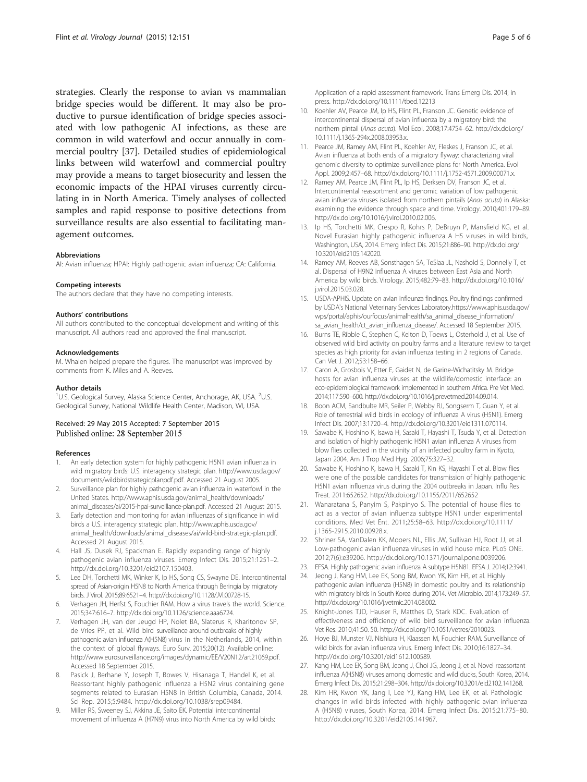<span id="page-4-0"></span>strategies. Clearly the response to avian vs mammalian bridge species would be different. It may also be productive to pursue identification of bridge species associated with low pathogenic AI infections, as these are common in wild waterfowl and occur annually in commercial poultry [[37\]](#page-5-0). Detailed studies of epidemiological links between wild waterfowl and commercial poultry may provide a means to target biosecurity and lessen the economic impacts of the HPAI viruses currently circulating in in North America. Timely analyses of collected samples and rapid response to positive detections from surveillance results are also essential to facilitating management outcomes.

#### Abbreviations

AI: Avian influenza; HPAI: Highly pathogenic avian influenza; CA: California.

#### Competing interests

The authors declare that they have no competing interests.

#### Authors' contributions

All authors contributed to the conceptual development and writing of this manuscript. All authors read and approved the final manuscript.

#### Acknowledgements

M. Whalen helped prepare the figures. The manuscript was improved by comments from K. Miles and A. Reeves.

#### Author details

<sup>1</sup>U.S. Geological Survey, Alaska Science Center, Anchorage, AK, USA. <sup>2</sup>U.S. Geological Survey, National Wildlife Health Center, Madison, WI, USA.

# Received: 29 May 2015 Accepted: 7 September 2015

#### References

- 1. An early detection system for highly pathogenic H5N1 avian influenza in wild migratory birds: U.S. interagency strategic plan. [http://www.usda.gov/](http://www.usda.gov/documents/wildbirdstrategicplanpdf.pdf) [documents/wildbirdstrategicplanpdf.pdf](http://www.usda.gov/documents/wildbirdstrategicplanpdf.pdf). Accessed 21 August 2005.
- Surveillance plan for highly pathogenic avian influenza in waterfowl in the United States. [http://www.aphis.usda.gov/animal\\_health/downloads/](http://www.aphis.usda.gov/animal_health/downloads/animal_diseases/ai/2015-hpai-surveillance-plan.pdf) [animal\\_diseases/ai/2015-hpai-surveillance-plan.pdf.](http://www.aphis.usda.gov/animal_health/downloads/animal_diseases/ai/2015-hpai-surveillance-plan.pdf) Accessed 21 August 2015.
- 3. Early detection and monitoring for avian influenzas of significance in wild birds a U.S. interagency strategic plan. [http://www.aphis.usda.gov/](http://www.aphis.usda.gov/animal_health/downloads/animal_diseases/ai/wild-bird-strategic-plan.pdf) [animal\\_health/downloads/animal\\_diseases/ai/wild-bird-strategic-plan.pdf](http://www.aphis.usda.gov/animal_health/downloads/animal_diseases/ai/wild-bird-strategic-plan.pdf). Accessed 21 August 2015.
- 4. Hall JS, Dusek RJ, Spackman E. Rapidly expanding range of highly pathogenic avian influenza viruses. Emerg Infect Dis. 2015;21:1251–2. http://dx.doi.org/[10.3201/eid2107.150403](http://dx.doi.org/10.3201/eid2107.150403).
- 5. Lee DH, Torchetti MK, Winker K, Ip HS, Song CS, Swayne DE. Intercontinental spread of Asian-origin H5N8 to North America through Beringia by migratory birds. J Virol. 2015;89:6521–4. http://dx.doi.org/[10.1128/JVI.00728-15.](http://dx.doi.org/10.1128/JVI.00728-15)
- 6. Verhagen JH, Herfst S, Fouchier RAM. How a virus travels the world. Science. 2015;347:616–7. http://dx.doi.org[/10.1126/science.aaa6724.](http://dx.doi.org/10.1126/science.aaa6724)
- 7. Verhagen JH, van der Jeugd HP, Nolet BA, Slaterus R, Kharitonov SP, de Vries PP, et al. Wild bird surveillance around outbreaks of highly pathogenic avian influenza A(H5N8) virus in the Netherlands, 2014, within the context of global flyways. Euro Surv. 2015;20(12). Available online: <http://www.eurosurveillance.org/images/dynamic/EE/V20N12/art21069.pdf.> Accessed 18 September 2015.
- Pasick J, Berhane Y, Joseph T, Bowes V, Hisanaga T, Handel K, et al. Reassortant highly pathogenic influenza a H5N2 virus containing gene segments related to Eurasian H5N8 in British Columbia, Canada, 2014. Sci Rep. 2015;5:9484. http://dx.doi.org/[10.1038/srep09484](http://dx.doi.org/10.1038/srep09484).
- 9. Miller RS, Sweeney SJ, Akkina JE, Saito EK. Potential intercontinental movement of influenza A (H7N9) virus into North America by wild birds:

Application of a rapid assessment framework. Trans Emerg Dis. 2014; in press. http://dx.doi.org[/10.1111/tbed.12213](http://dx.doi.org/10.1111/tbed.12213)

- 10. Koehler AV, Pearce JM, Ip HS, Flint PL, Franson JC. Genetic evidence of intercontinental dispersal of avian influenza by a migratory bird: the northern pintail (Anas acuta). Mol Ecol. 2008;17:4754–62. http://dx.doi.org/ [10.1111/j.1365-294x.2008.03953.x.](http://dx.doi.org/10.1111/j.1365-294x.2008.03953.x)
- 11. Pearce JM, Ramey AM, Flint PL, Koehler AV, Fleskes J, Franson JC, et al. Avian influenza at both ends of a migratory flyway: characterizing viral genomic diversity to optimize surveillance plans for North America. Evol Appl. 2009;2:457–68. http://dx.doi.org[/10.1111/j.1752-4571.2009.00071.x.](http://dx.doi.org/10.1111/j.1752-4571.2009.00071.x)
- 12. Ramey AM, Pearce JM, Flint PL, Ip HS, Derksen DV, Franson JC, et al. Intercontinental reassortment and genomic variation of low pathogenic avian influenza viruses isolated from northern pintails (Anas acuta) in Alaska: examining the evidence through space and time. Virology. 2010;401:179–89. http://dx.doi.org[/10.1016/j.virol.2010.02.006](http://dx.doi.org/10.1016/j.virol.2010.02.006).
- 13. Ip HS, Torchetti MK, Crespo R, Kohrs P, DeBruyn P, Mansfield KG, et al. Novel Eurasian highly pathogenic influenza A H5 viruses in wild birds, Washington, USA, 2014. Emerg Infect Dis. 2015;21:886–90. http://dx.doi.org/ [10.3201/eid2105.142020.](http://dx.doi.org/10.3201/eid2105.142020)
- 14. Ramey AM, Reeves AB, Sonsthagen SA, TeSlaa JL, Nashold S, Donnelly T, et al. Dispersal of H9N2 influenza A viruses between East Asia and North America by wild birds. Virology. 2015;482:79–83. http://dx.doi.org[/10.1016/](http://dx.doi.org/10.1016/j.virol.2015.03.028) [j.virol.2015.03.028.](http://dx.doi.org/10.1016/j.virol.2015.03.028)
- 15. USDA-APHIS. Update on avian infleunza findings. Poultry findings confirmed by USDA's National Veterinary Services Laboratory.[https://www.aphis.usda.gov/](https://www.aphis.usda.gov/wps/portal/aphis/ourfocus/animalhealth/sa_animal_disease_information/sa_avian_health/ct_avian_influenza_disease/) [wps/portal/aphis/ourfocus/animalhealth/sa\\_animal\\_disease\\_information/](https://www.aphis.usda.gov/wps/portal/aphis/ourfocus/animalhealth/sa_animal_disease_information/sa_avian_health/ct_avian_influenza_disease/) [sa\\_avian\\_health/ct\\_avian\\_influenza\\_disease/](https://www.aphis.usda.gov/wps/portal/aphis/ourfocus/animalhealth/sa_animal_disease_information/sa_avian_health/ct_avian_influenza_disease/). Accessed 18 September 2015.
- 16. Burns TE, Ribble C, Stephen C, Kelton D, Toews L, Osterhold J, et al. Use of observed wild bird activity on poultry farms and a literature review to target species as high priority for avian influenza testing in 2 regions of Canada. Can Vet J. 2012;53:158–66.
- 17. Caron A, Grosbois V, Etter E, Gaidet N, de Garine-Wichatitsky M. Bridge hosts for avian influenza viruses at the wildlife/domestic interface: an eco-epidemiological framework implemented in southern Africa. Pre Vet Med. 2014;117:590–600. http://dx.doi.org[/10.1016/j.prevetmed.2014.09.014](http://dx.doi.org/10.1016/j.prevetmed.2014.09.014).
- 18. Boon ACM, Sandbulte MR, Seiler P, Webby RJ, Songserm T, Guan Y, et al. Role of terrestrial wild birds in ecology of influenza A virus (H5N1). Emerg Infect Dis. 2007;13:1720–4. http://dx.doi.org[/10.3201/eid1311.070114](http://dx.doi.org/10.3201/eid1311.070114).
- 19. Sawabe K, Hoshino K, Isawa H, Sasaki T, Hayashi T, Tsuda Y, et al. Detection and isolation of highly pathogenic H5N1 avian influenza A viruses from blow flies collected in the vicinity of an infected poultry farm in Kyoto, Japan 2004. Am J Trop Med Hyg. 2006;75:327–32.
- 20. Sawabe K, Hoshino K, Isawa H, Sasaki T, Kin KS, Hayashi T et al. Blow flies were one of the possible candidates for transmission of highly pathogenic H5N1 avian influenza virus during the 2004 outbreaks in Japan. Influ Res Treat. 2011:652652. http://dx.doi.org[/10.1155/2011/652652](http://dx.doi.org/10.1155/2011/652652)
- 21. Wanaratana S, Panyim S, Pakpinyo S. The potential of house flies to act as a vector of avian influenza subtype H5N1 under experimental conditions. Med Vet Ent. 2011;25:58–63. http://dx.doi.org/[10.1111/](http://dx.doi.org/10.1111/j.1365-2915.2010.00928.x) [j.1365-2915.2010.00928.x.](http://dx.doi.org/10.1111/j.1365-2915.2010.00928.x)
- 22. Shriner SA, VanDalen KK, Mooers NL, Ellis JW, Sullivan HJ, Root JJ, et al. Low-pathogenic avian influenza viruses in wild house mice. PLoS ONE. 2012;7(6):e39206. http://dx.doi.org/[10.1371/journal.pone.0039206.](http://dx.doi.org/10.1371/journal.pone.0039206)
- 23. EFSA. Highly pathogenic avian influenza A subtype H5N81. EFSA J. 2014;12:3941.
- 24. Jeong J, Kang HM, Lee EK, Song BM, Kwon YK, Kim HR, et al. Highly pathogenic avian influenza (H5N8) in domestic poultry and its relationship with migratory birds in South Korea during 2014. Vet Microbio. 2014;173:249–57. http://dx.doi.org/[10.1016/j.vetmic.2014.08.002.](http://dx.doi.org/10.1016/j.vetmic.2014.08.002)
- 25. Knight-Jones TJD, Hauser R, Matthes D, Stark KDC. Evaluation of effectiveness and efficiency of wild bird surveillance for avian influenza. Vet Res. 2010;41:50. 50. http://dx.doi.org[/10.1051/vetres/2010023](http://dx.doi.org/10.1051/vetres/2010023).
- 26. Hoye BJ, Munster VJ, Nishiura H, Klaassen M, Fouchier RAM. Surveillance of wild birds for avian influenza virus. Emerg Infect Dis. 2010;16:1827–34. http://dx.doi.org[/10.3201/eid1612.100589](http://dx.doi.org/10.3201/eid1612.100589).
- 27. Kang HM, Lee EK, Song BM, Jeong J, Choi JG, Jeong J, et al. Novel reassortant influenza A(H5N8) viruses among domestic and wild ducks, South Korea, 2014. Emerg Infect Dis. 2015;21:298–304. http://dx.doi.org/[10.3201/eid2102.141268.](http://dx.doi.org/10.3201/eid2102.141268)
- 28. Kim HR, Kwon YK, Jang I, Lee YJ, Kang HM, Lee EK, et al. Pathologic changes in wild birds infected with highly pathogenic avian influenza A (H5N8) viruses, South Korea, 2014. Emerg Infect Dis. 2015;21:775–80. http://dx.doi.org/[10.3201/eid2105.141967](http://dx.doi.org/10.3201/eid2105.141967).